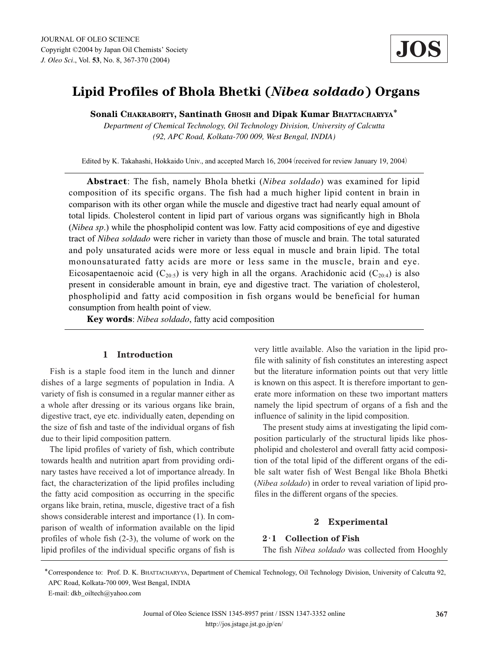# **Lipid Profiles of Bhola Bhetki (***Nibea soldado***) Organs**

**Sonali CHAKRABORTY, Santinath GHOSH and Dipak Kumar BHATTACHARYYA**\*

*Department of Chemical Technology, Oil Technology Division, University of Calcutta (92, APC Road, Kolkata-700 009, West Bengal, INDIA)*

Edited by K. Takahashi, Hokkaido Univ., and accepted March 16, 2004 (received for review January 19, 2004)

**Abstract**: The fish, namely Bhola bhetki (*Nibea soldado*) was examined for lipid composition of its specific organs. The fish had a much higher lipid content in brain in comparison with its other organ while the muscle and digestive tract had nearly equal amount of total lipids. Cholesterol content in lipid part of various organs was significantly high in Bhola (*Nibea sp*.) while the phospholipid content was low. Fatty acid compositions of eye and digestive tract of *Nibea soldado* were richer in variety than those of muscle and brain. The total saturated and poly unsaturated acids were more or less equal in muscle and brain lipid. The total monounsaturated fatty acids are more or less same in the muscle, brain and eye. Eicosapentaenoic acid (C<sub>20:5</sub>) is very high in all the organs. Arachidonic acid (C<sub>20:4</sub>) is also present in considerable amount in brain, eye and digestive tract. The variation of cholesterol, phospholipid and fatty acid composition in fish organs would be beneficial for human consumption from health point of view.

**Key words**: *Nibea soldado*, fatty acid composition

## **1 Introduction**

Fish is a staple food item in the lunch and dinner dishes of a large segments of population in India. A variety of fish is consumed in a regular manner either as a whole after dressing or its various organs like brain, digestive tract, eye etc. individually eaten, depending on the size of fish and taste of the individual organs of fish due to their lipid composition pattern.

The lipid profiles of variety of fish, which contribute towards health and nutrition apart from providing ordinary tastes have received a lot of importance already. In fact, the characterization of the lipid profiles including the fatty acid composition as occurring in the specific organs like brain, retina, muscle, digestive tract of a fish shows considerable interest and importance (1). In comparison of wealth of information available on the lipid profiles of whole fish (2-3), the volume of work on the lipid profiles of the individual specific organs of fish is very little available. Also the variation in the lipid profile with salinity of fish constitutes an interesting aspect but the literature information points out that very little is known on this aspect. It is therefore important to generate more information on these two important matters namely the lipid spectrum of organs of a fish and the influence of salinity in the lipid composition.

The present study aims at investigating the lipid composition particularly of the structural lipids like phospholipid and cholesterol and overall fatty acid composition of the total lipid of the different organs of the edible salt water fish of West Bengal like Bhola Bhetki (*Nibea soldado*) in order to reveal variation of lipid profiles in the different organs of the species.

## **2 Experimental**

#### **2**・**1 Collection of Fish**

The fish *Nibea soldado* was collected from Hooghly

\*Correspondence to: Prof. D. K. BHATTACHARYYA, Department of Chemical Technology, Oil Technology Division, University of Calcutta 92, APC Road, Kolkata-700 009, West Bengal, INDIA

E-mail: dkb\_oiltech@yahoo.com

Journal of Oleo Science ISSN 1345-8957 print / ISSN 1347-3352 online http://jos.jstage.jst.go.jp/en/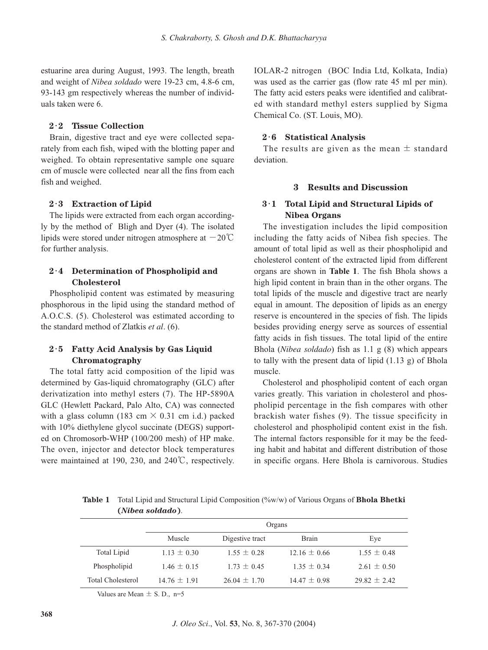estuarine area during August, 1993. The length, breath and weight of *Nibea soldado* were 19-23 cm, 4.8-6 cm, 93-143 gm respectively whereas the number of individuals taken were 6.

#### **2**・**2 Tissue Collection**

Brain, digestive tract and eye were collected separately from each fish, wiped with the blotting paper and weighed. To obtain representative sample one square cm of muscle were collected near all the fins from each fish and weighed.

#### **2**・**3 Extraction of Lipid**

The lipids were extracted from each organ accordingly by the method of Bligh and Dyer (4). The isolated lipids were stored under nitrogen atmosphere at  $-20^{\circ}$ C for further analysis.

## **2**・**4 Determination of Phospholipid and Cholesterol**

Phospholipid content was estimated by measuring phosphorous in the lipid using the standard method of A.O.C.S. (5). Cholesterol was estimated according to the standard method of Zlatkis *et al*. (6).

## **2**・**5 Fatty Acid Analysis by Gas Liquid Chromatography**

The total fatty acid composition of the lipid was determined by Gas-liquid chromatography (GLC) after derivatization into methyl esters (7). The HP-5890A GLC (Hewlett Packard, Palo Alto, CA) was connected with a glass column (183 cm  $\times$  0.31 cm i.d.) packed with 10% diethylene glycol succinate (DEGS) supported on Chromosorb-WHP (100/200 mesh) of HP make. The oven, injector and detector block temperatures were maintained at 190, 230, and 240℃, respectively. IOLAR-2 nitrogen (BOC India Ltd, Kolkata, India) was used as the carrier gas (flow rate 45 ml per min). The fatty acid esters peaks were identified and calibrated with standard methyl esters supplied by Sigma Chemical Co. (ST. Louis, MO).

## **2**・**6 Statistical Analysis**

The results are given as the mean  $\pm$  standard deviation.

## **3 Results and Discussion**

## **3**・**1 Total Lipid and Structural Lipids of Nibea Organs**

The investigation includes the lipid composition including the fatty acids of Nibea fish species. The amount of total lipid as well as their phospholipid and cholesterol content of the extracted lipid from different organs are shown in **Table 1**. The fish Bhola shows a high lipid content in brain than in the other organs. The total lipids of the muscle and digestive tract are nearly equal in amount. The deposition of lipids as an energy reserve is encountered in the species of fish. The lipids besides providing energy serve as sources of essential fatty acids in fish tissues. The total lipid of the entire Bhola (*Nibea soldado*) fish as 1.1 g (8) which appears to tally with the present data of lipid (1.13 g) of Bhola muscle.

Cholesterol and phospholipid content of each organ varies greatly. This variation in cholesterol and phospholipid percentage in the fish compares with other brackish water fishes (9). The tissue specificity in cholesterol and phospholipid content exist in the fish. The internal factors responsible for it may be the feeding habit and habitat and different distribution of those in specific organs. Here Bhola is carnivorous. Studies

**Table 1** Total Lipid and Structural Lipid Composition (%w/w) of Various Organs of **Bhola Bhetki (***Nibea soldado***)**.

|                   | Organs           |                  |                  |                  |  |
|-------------------|------------------|------------------|------------------|------------------|--|
|                   | Muscle           | Digestive tract  | <b>Brain</b>     | Eye              |  |
| Total Lipid       | $1.13 \pm 0.30$  | $1.55 \pm 0.28$  | $12.16 \pm 0.66$ | $1.55 \pm 0.48$  |  |
| Phospholipid      | $1.46 \pm 0.15$  | $1.73 \pm 0.45$  | $1.35 \pm 0.34$  | $2.61 \pm 0.50$  |  |
| Total Cholesterol | $14.76 \pm 1.91$ | $26.04 \pm 1.70$ | $14.47 \pm 0.98$ | $29.82 \pm 2.42$ |  |

Values are Mean  $\pm$  S. D., n=5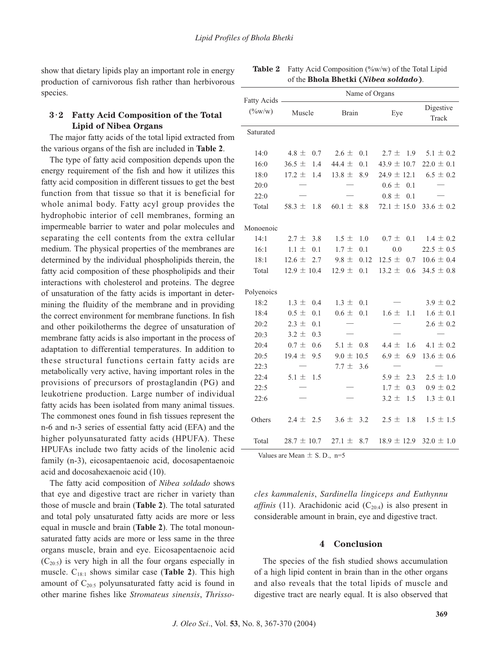show that dietary lipids play an important role in energy production of carnivorous fish rather than herbivorous species.

## **3**・**2 Fatty Acid Composition of the Total Lipid of Nibea Organs**

The major fatty acids of the total lipid extracted from the various organs of the fish are included in **Table 2**.

The type of fatty acid composition depends upon the energy requirement of the fish and how it utilizes this fatty acid composition in different tissues to get the best function from that tissue so that it is beneficial for whole animal body. Fatty acyl group provides the hydrophobic interior of cell membranes, forming an impermeable barrier to water and polar molecules and separating the cell contents from the extra cellular medium. The physical properties of the membranes are determined by the individual phospholipids therein, the fatty acid composition of these phospholipids and their interactions with cholesterol and proteins. The degree of unsaturation of the fatty acids is important in determining the fluidity of the membrane and in providing the correct environment for membrane functions. In fish and other poikilotherms the degree of unsaturation of membrane fatty acids is also important in the process of adaptation to differential temperatures. In addition to these structural functions certain fatty acids are metabolically very active, having important roles in the provisions of precursors of prostaglandin (PG) and leukotriene production. Large number of individual fatty acids has been isolated from many animal tissues. The commonest ones found in fish tissues represent the n-6 and n-3 series of essential fatty acid (EFA) and the higher polyunsaturated fatty acids (HPUFA). These HPUFAs include two fatty acids of the linolenic acid family (n-3), eicosapentaenoic acid, docosapentaenoic acid and docosahexaenoic acid (10).

The fatty acid composition of *Nibea soldado* shows that eye and digestive tract are richer in variety than those of muscle and brain (**Table 2**). The total saturated and total poly unsaturated fatty acids are more or less equal in muscle and brain (**Table 2**). The total monounsaturated fatty acids are more or less same in the three organs muscle, brain and eye. Eicosapentaenoic acid  $(C_{20:5})$  is very high in all the four organs especially in muscle. C18:1 shows similar case (**Table 2**). This high amount of  $C_{20:5}$  polyunsaturated fatty acid is found in other marine fishes like *Stromateus sinensis*, *Thrisso-*

|                            | Name of Organs    |                   |                   |                    |  |
|----------------------------|-------------------|-------------------|-------------------|--------------------|--|
| Fatty Acids -<br>$(\%w/w)$ | Muscle            | <b>Brain</b>      | Eye               | Digestive<br>Track |  |
| Saturated                  |                   |                   |                   |                    |  |
| 14:0                       | 4.8 $\pm$<br>0.7  | 0.1<br>$2.6 \pm$  | $2.7 \pm 1.9$     | $5.1 \pm 0.2$      |  |
| 16:0                       | $36.5 \pm$<br>1.4 | 44.4 ±<br>0.1     | 43.9 $\pm$ 10.7   | $22.0 \pm 0.1$     |  |
| 18:0                       | $17.2 \pm$<br>1.4 | $13.8 \pm$<br>8.9 | $24.9 \pm 12.1$   | $6.5 \pm 0.2$      |  |
| 20:0                       |                   |                   | $0.6 \pm$<br>0.1  |                    |  |
| 22:0                       |                   |                   | $0.8 \pm$<br>0.1  |                    |  |
| Total                      | 58.3 $\pm$<br>1.8 | 60.1 $\pm$<br>8.8 | $72.1 \pm 15.0$   | $33.6 \pm 0.2$     |  |
| Monoenoic                  |                   |                   |                   |                    |  |
| 14:1                       | $2.7 \pm$<br>3.8  | 1.0<br>$1.5 \pm$  | $0.7 \pm$<br>0.1  | $1.4 \pm 0.2$      |  |
| 16:1                       | 0.1<br>$1.1 \pm$  | 1.7 $\pm$<br>0.1  | 0.0               | $22.5 \pm 0.5$     |  |
| 18:1                       | 12.6 $\pm$<br>2.7 | $9.8 \pm$<br>0.12 | 12.5 $\pm$<br>0.7 | $10.6 \pm 0.4$     |  |
| Total                      | $12.9 \pm 10.4$   | $12.9 \pm$<br>0.1 | 13.2 $\pm$<br>0.6 | $34.5 \pm 0.8$     |  |
| Polyenoics                 |                   |                   |                   |                    |  |
| 18:2                       | $1.3 \pm$<br>0.4  | $1.3 \pm$<br>0.1  |                   | $3.9 \pm 0.2$      |  |
| 18:4                       | $0.5 \pm$<br>0.1  | $0.6 \pm$<br>0.1  | $1.6 \pm$<br>1.1  | $1.6 \pm 0.1$      |  |
| 20:2                       | $2.3 \pm$<br>0.1  |                   |                   | $2.6 \pm 0.2$      |  |
| 20:3                       | $3.2 \pm$<br>0.3  |                   |                   |                    |  |
| 20:4                       | $0.7 \pm$<br>0.6  | 5.1 $\pm$<br>0.8  | 4.4 $\pm$<br>1.6  | 4.1 $\pm$ 0.2      |  |
| 20:5                       | $19.4 \pm$<br>9.5 | $9.0 \pm 10.5$    | $6.9 \pm$<br>6.9  | $13.6 \pm 0.6$     |  |
| 22:3                       |                   | $7.7 \pm 3.6$     |                   |                    |  |
| 22:4                       | 1.5<br>$5.1 \pm$  |                   | 5.9 $\pm$<br>2.3  | $2.5 \pm 1.0$      |  |
| 22:5                       |                   |                   | $1.7 \pm$<br>0.3  | $0.9 \pm 0.2$      |  |
| 22:6                       |                   |                   | $3.2 \pm$<br>1.5  | $1.3 \pm 0.1$      |  |
| Others                     | $2.4 \pm 2.5$     | $3.6 \pm 3.2$     | $2.5 \pm$<br>1.8  | $1.5 \pm 1.5$      |  |
| Total                      | $28.7 \pm 10.7$   | $27.1 \pm$<br>8.7 | $18.9 \pm 12.9$   | $32.0 \pm 1.0$     |  |

Table 2 Fatty Acid Composition (%w/w) of the Total Lipid of the **Bhola Bhetki (***Nibea soldado***)**.

Values are Mean  $\pm$  S. D., n=5

*cles kammalenis*, *Sardinella lingiceps and Euthynnu affinis* (11). Arachidonic acid  $(C_{20:4})$  is also present in considerable amount in brain, eye and digestive tract.

## **4 Conclusion**

The species of the fish studied shows accumulation of a high lipid content in brain than in the other organs and also reveals that the total lipids of muscle and digestive tract are nearly equal. It is also observed that